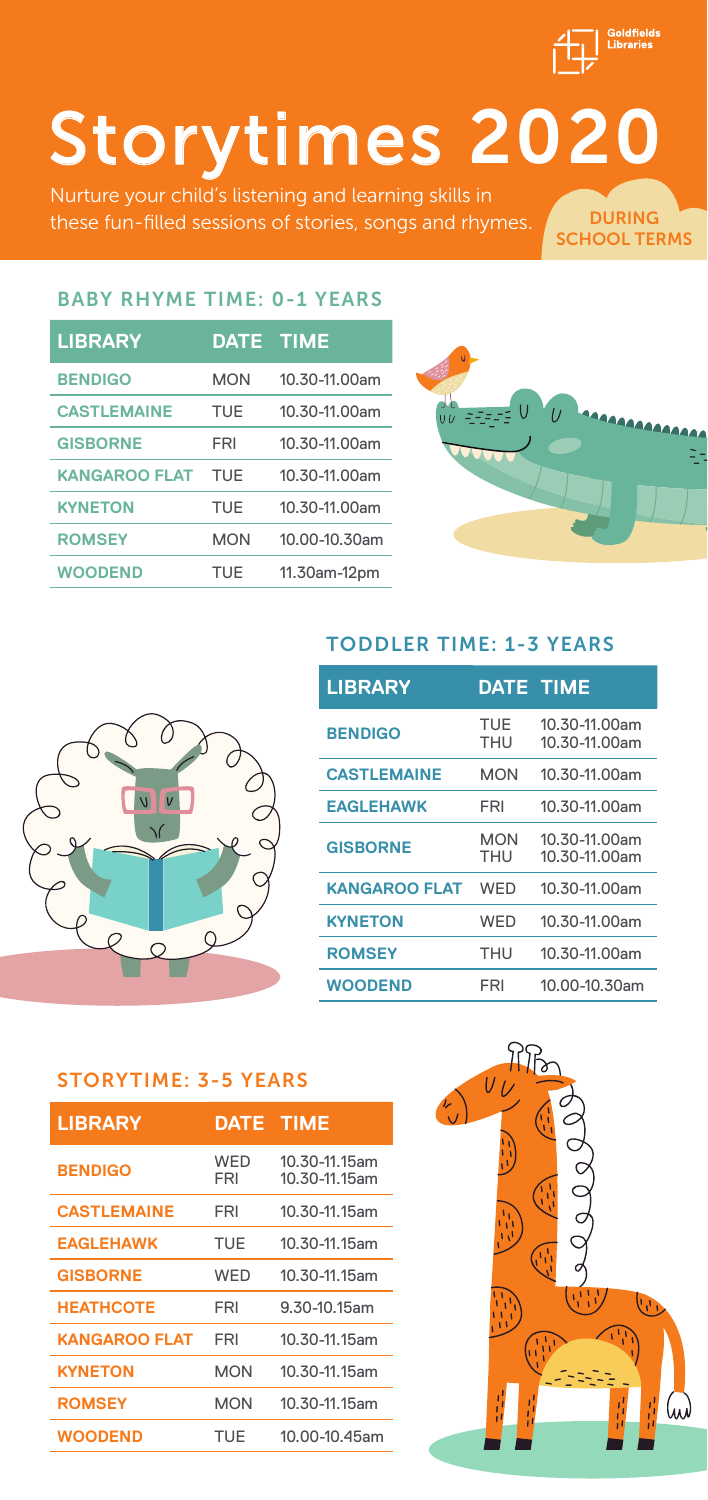

DURING SCHOOL TERMS

# Storytimes 2020

these fun-filled sessions of stories, songs and rhymes.

### BABY RHYME TIME: 0-1 YEARS

| <b>LIBRARY</b>       | DATE TIME  |               |
|----------------------|------------|---------------|
| <b>BENDIGO</b>       | <b>MON</b> | 10.30-11.00am |
| <b>CASTLEMAINE</b>   | TUE        | 10.30-11.00am |
| <b>GISBORNE</b>      | FRI        | 10.30-11.00am |
| <b>KANGAROO FLAT</b> | TUF        | 10.30-11.00am |
| <b>KYNETON</b>       | TUE        | 10.30-11.00am |
| <b>ROMSEY</b>        | <b>MON</b> | 10.00-10.30am |
| <b>WOODEND</b>       | TUE        | 11.30am-12pm  |





## TODDLER TIME: 1-3 YEARS

| <b>LIBRARY</b>       | <b>DATE TIME</b>  |                                |
|----------------------|-------------------|--------------------------------|
| <b>BENDIGO</b>       | TUE<br><b>THU</b> | 10.30-11.00am<br>10.30-11.00am |
| <b>CASTLEMAINE</b>   | <b>MON</b>        | 10.30-11.00am                  |
| <b>EAGLEHAWK</b>     | FRI               | 10.30-11.00am                  |
| <b>GISBORNE</b>      | <b>MON</b><br>THU | 10.30-11.00am<br>10.30-11.00am |
| <b>KANGAROO FLAT</b> | WFD               | 10.30-11.00am                  |
| <b>KYNETON</b>       | WED               | 10.30-11.00am                  |
| <b>ROMSEY</b>        | <b>THU</b>        | 10.30-11.00am                  |
| WOODEND              | FRI               | 10.00-10.30am                  |

#### STORYTIME: 3-5 YEARS

| <b>LIBRARY</b>       | <b>DATE TIME</b> |                                |
|----------------------|------------------|--------------------------------|
| <b>BENDIGO</b>       | WFD<br>FRI       | 10.30-11.15am<br>10.30-11.15am |
| <b>CASTLEMAINE</b>   | FRI              | 10.30-11.15am                  |
| <b>EAGLEHAWK</b>     | TUE              | 10.30-11.15am                  |
| <b>GISBORNE</b>      | WFD              | 10.30-11.15am                  |
| <b>HEATHCOTE</b>     | FRI              | 9.30-10.15am                   |
| <b>KANGAROO FLAT</b> | FRI              | 10.30-11.15am                  |
| <b>KYNETON</b>       | <b>MON</b>       | 10.30-11.15am                  |
| <b>ROMSEY</b>        | <b>MON</b>       | 10.30-11.15am                  |
| WOODEND              | TUE              | 10.00-10.45am                  |